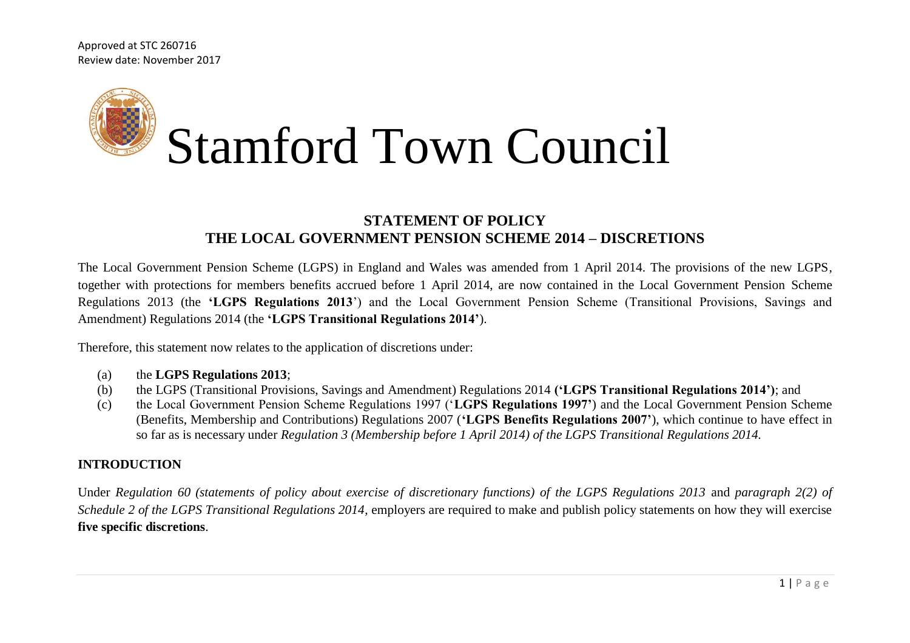Approved at STC 260716 Review date: November 2017



# **STATEMENT OF POLICY THE LOCAL GOVERNMENT PENSION SCHEME 2014 – DISCRETIONS**

The Local Government Pension Scheme (LGPS) in England and Wales was amended from 1 April 2014. The provisions of the new LGPS, together with protections for members benefits accrued before 1 April 2014, are now contained in the Local Government Pension Scheme Regulations 2013 (the **'LGPS Regulations 2013**') and the Local Government Pension Scheme (Transitional Provisions, Savings and Amendment) Regulations 2014 (the **'LGPS Transitional Regulations 2014'**).

Therefore, this statement now relates to the application of discretions under:

- (a) the **LGPS Regulations 2013**;
- (b) the LGPS (Transitional Provisions, Savings and Amendment) Regulations 2014 **('LGPS Transitional Regulations 2014')**; and
- (c) the Local Government Pension Scheme Regulations 1997 ('**LGPS Regulations 1997'**) and the Local Government Pension Scheme (Benefits, Membership and Contributions) Regulations 2007 (**'LGPS Benefits Regulations 2007'**), which continue to have effect in so far as is necessary under *Regulation 3 (Membership before 1 April 2014) of the LGPS Transitional Regulations 2014.*

#### **INTRODUCTION**

Under *Regulation 60 (statements of policy about exercise of discretionary functions) of the LGPS Regulations 2013* and *paragraph 2(2) of Schedule 2 of the LGPS Transitional Regulations 2014*, employers are required to make and publish policy statements on how they will exercise **five specific discretions**.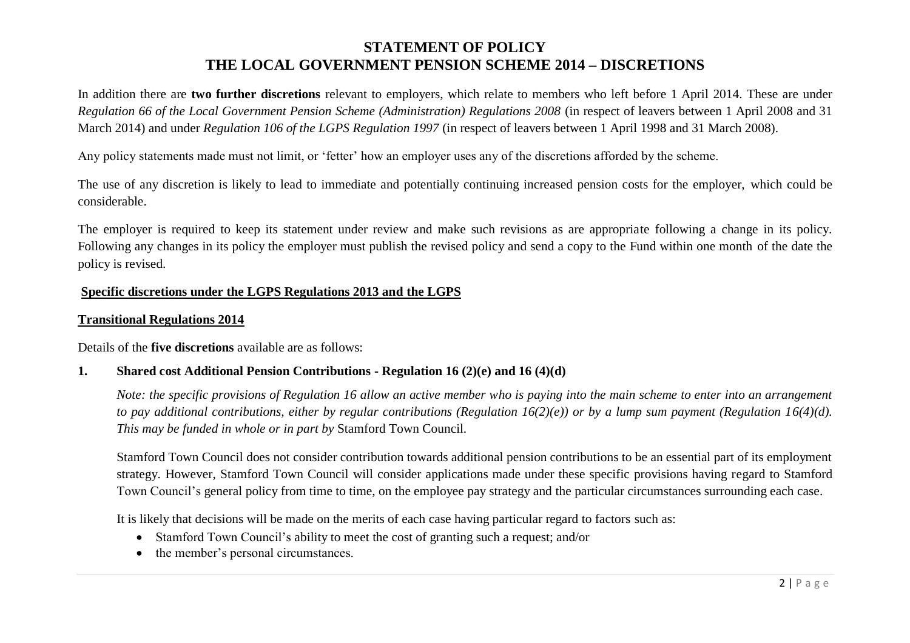In addition there are **two further discretions** relevant to employers, which relate to members who left before 1 April 2014. These are under *Regulation 66 of the Local Government Pension Scheme (Administration) Regulations 2008* (in respect of leavers between 1 April 2008 and 31 March 2014) and under *Regulation 106 of the LGPS Regulation 1997* (in respect of leavers between 1 April 1998 and 31 March 2008).

Any policy statements made must not limit, or 'fetter' how an employer uses any of the discretions afforded by the scheme.

The use of any discretion is likely to lead to immediate and potentially continuing increased pension costs for the employer, which could be considerable.

The employer is required to keep its statement under review and make such revisions as are appropriate following a change in its policy. Following any changes in its policy the employer must publish the revised policy and send a copy to the Fund within one month of the date the policy is revised.

### **Specific discretions under the LGPS Regulations 2013 and the LGPS**

#### **Transitional Regulations 2014**

Details of the **five discretions** available are as follows:

### **1. Shared cost Additional Pension Contributions - Regulation 16 (2)(e) and 16 (4)(d)**

*Note: the specific provisions of Regulation 16 allow an active member who is paying into the main scheme to enter into an arrangement to pay additional contributions, either by regular contributions (Regulation 16(2)(e)) or by a lump sum payment (Regulation 16(4)(d). This may be funded in whole or in part by* Stamford Town Council*.* 

Stamford Town Council does not consider contribution towards additional pension contributions to be an essential part of its employment strategy. However, Stamford Town Council will consider applications made under these specific provisions having regard to Stamford Town Council's general policy from time to time, on the employee pay strategy and the particular circumstances surrounding each case.

It is likely that decisions will be made on the merits of each case having particular regard to factors such as:

- Stamford Town Council's ability to meet the cost of granting such a request; and/or
- the member's personal circumstances.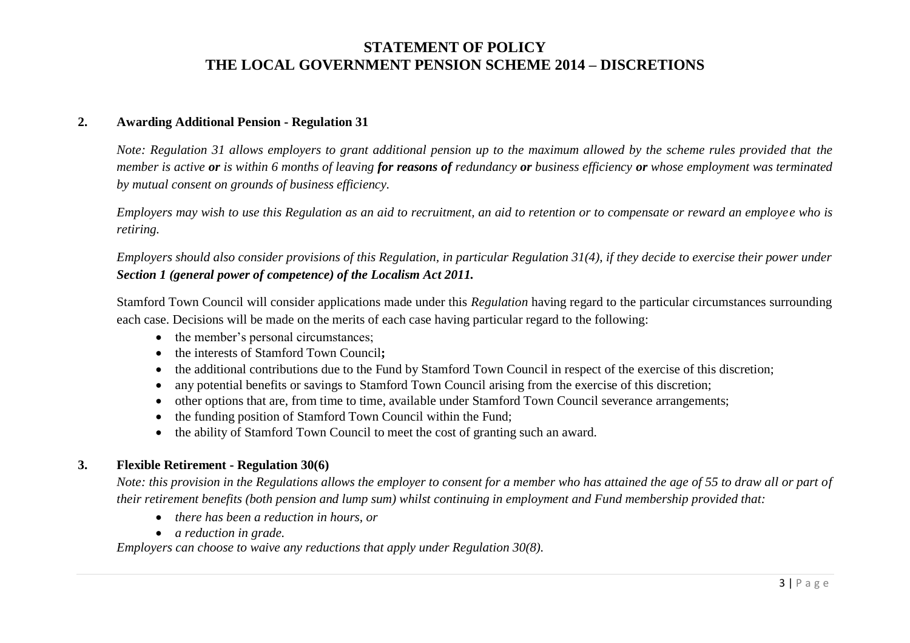#### **2. Awarding Additional Pension - Regulation 31**

*Note: Regulation 31 allows employers to grant additional pension up to the maximum allowed by the scheme rules provided that the member is active or is within 6 months of leaving for reasons of redundancy or business efficiency or whose employment was terminated by mutual consent on grounds of business efficiency.*

*Employers may wish to use this Regulation as an aid to recruitment, an aid to retention or to compensate or reward an employee who is retiring.* 

*Employers should also consider provisions of this Regulation, in particular Regulation 31(4), if they decide to exercise their power under Section 1 (general power of competence) of the Localism Act 2011.* 

Stamford Town Council will consider applications made under this *Regulation* having regard to the particular circumstances surrounding each case. Decisions will be made on the merits of each case having particular regard to the following:

- the member's personal circumstances;
- the interests of Stamford Town Council**;**
- the additional contributions due to the Fund by Stamford Town Council in respect of the exercise of this discretion;
- any potential benefits or savings to Stamford Town Council arising from the exercise of this discretion;
- other options that are, from time to time, available under Stamford Town Council severance arrangements;
- the funding position of Stamford Town Council within the Fund;
- the ability of Stamford Town Council to meet the cost of granting such an award.

#### **3. Flexible Retirement - Regulation 30(6)**

*Note: this provision in the Regulations allows the employer to consent for a member who has attained the age of 55 to draw all or part of their retirement benefits (both pension and lump sum) whilst continuing in employment and Fund membership provided that:*

- *there has been a reduction in hours, or*
- *a reduction in grade.*

*Employers can choose to waive any reductions that apply under Regulation 30(8).*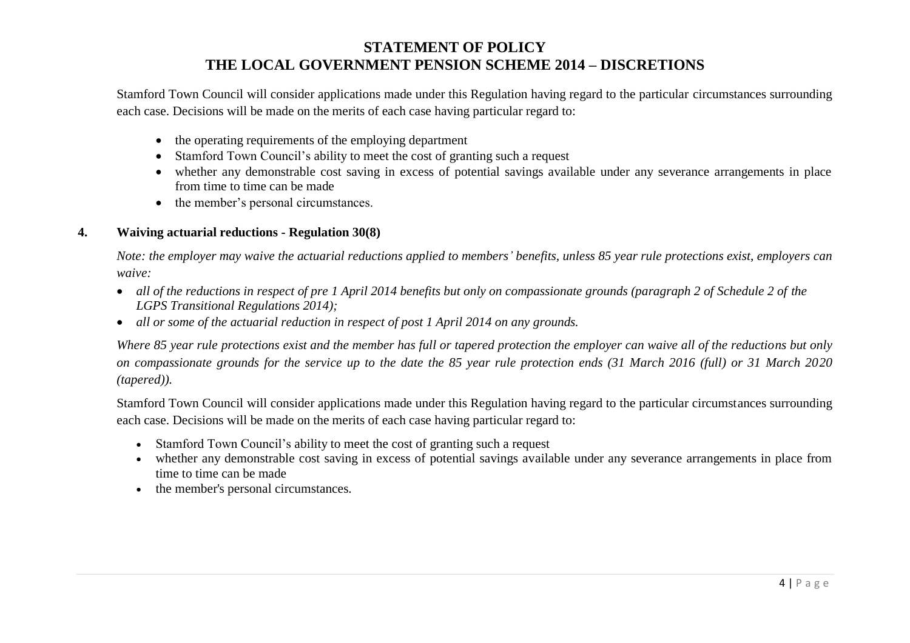Stamford Town Council will consider applications made under this Regulation having regard to the particular circumstances surrounding each case. Decisions will be made on the merits of each case having particular regard to:

- the operating requirements of the employing department
- Stamford Town Council's ability to meet the cost of granting such a request
- whether any demonstrable cost saving in excess of potential savings available under any severance arrangements in place from time to time can be made
- the member's personal circumstances.

### **4. Waiving actuarial reductions - Regulation 30(8)**

*Note: the employer may waive the actuarial reductions applied to members' benefits, unless 85 year rule protections exist, employers can waive:*

- *all of the reductions in respect of pre 1 April 2014 benefits but only on compassionate grounds (paragraph 2 of Schedule 2 of the LGPS Transitional Regulations 2014);*
- *all or some of the actuarial reduction in respect of post 1 April 2014 on any grounds.*

*Where 85 year rule protections exist and the member has full or tapered protection the employer can waive all of the reductions but only on compassionate grounds for the service up to the date the 85 year rule protection ends (31 March 2016 (full) or 31 March 2020 (tapered)).*

Stamford Town Council will consider applications made under this Regulation having regard to the particular circumstances surrounding each case. Decisions will be made on the merits of each case having particular regard to:

- Stamford Town Council's ability to meet the cost of granting such a request
- whether any demonstrable cost saving in excess of potential savings available under any severance arrangements in place from time to time can be made
- the member's personal circumstances.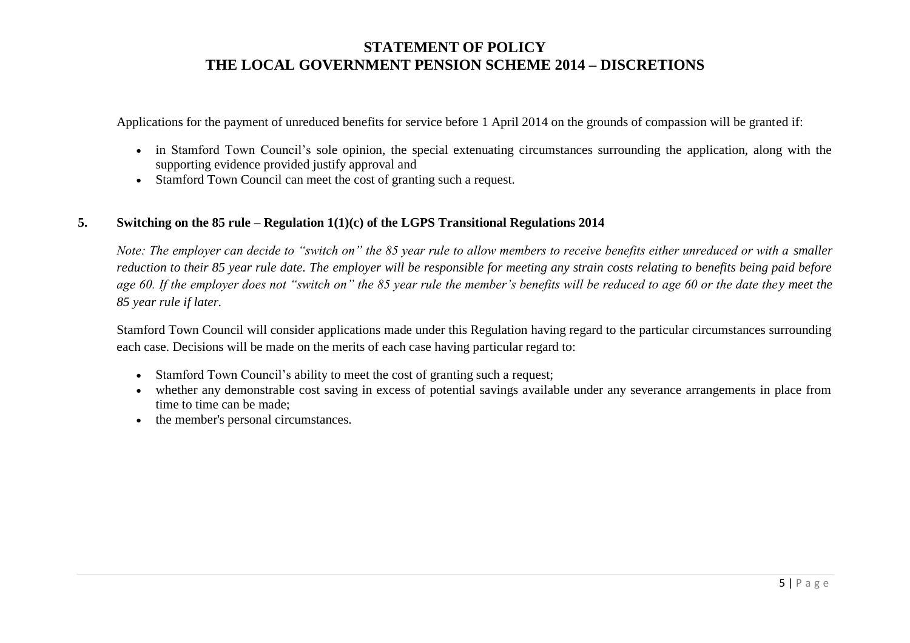Applications for the payment of unreduced benefits for service before 1 April 2014 on the grounds of compassion will be granted if:

- in Stamford Town Council's sole opinion, the special extenuating circumstances surrounding the application, along with the supporting evidence provided justify approval and
- Stamford Town Council can meet the cost of granting such a request.

#### **5. Switching on the 85 rule – Regulation 1(1)(c) of the LGPS Transitional Regulations 2014**

*Note: The employer can decide to "switch on" the 85 year rule to allow members to receive benefits either unreduced or with a smaller reduction to their 85 year rule date. The employer will be responsible for meeting any strain costs relating to benefits being paid before age 60. If the employer does not "switch on" the 85 year rule the member's benefits will be reduced to age 60 or the date they meet the 85 year rule if later.*

Stamford Town Council will consider applications made under this Regulation having regard to the particular circumstances surrounding each case. Decisions will be made on the merits of each case having particular regard to:

- Stamford Town Council's ability to meet the cost of granting such a request;
- whether any demonstrable cost saving in excess of potential savings available under any severance arrangements in place from time to time can be made;
- the member's personal circumstances.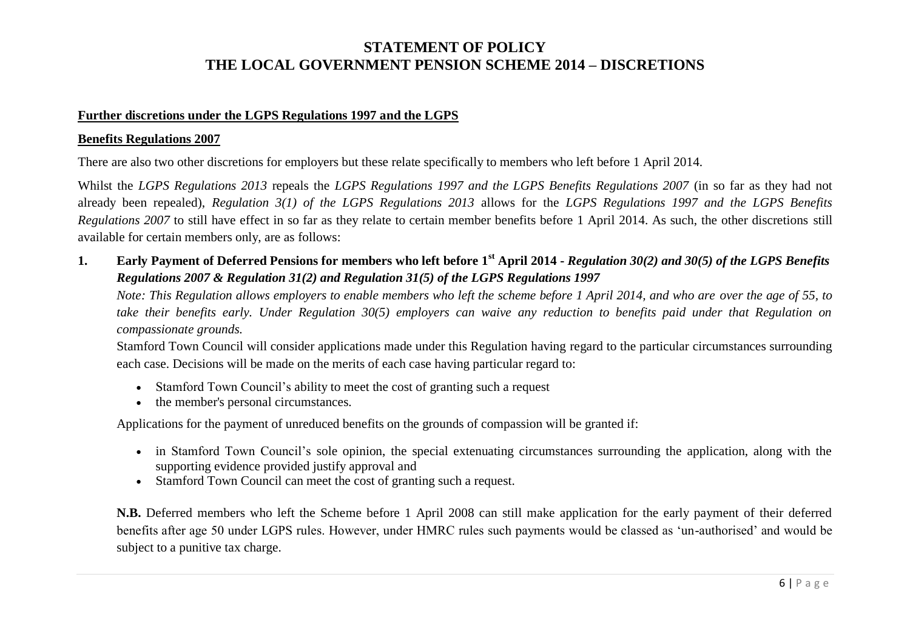#### **Further discretions under the LGPS Regulations 1997 and the LGPS**

#### **Benefits Regulations 2007**

There are also two other discretions for employers but these relate specifically to members who left before 1 April 2014.

Whilst the *LGPS Regulations 2013* repeals the *LGPS Regulations 1997 and the LGPS Benefits Regulations 2007* (in so far as they had not already been repealed), *Regulation 3(1) of the LGPS Regulations 2013* allows for the *LGPS Regulations 1997 and the LGPS Benefits Regulations 2007* to still have effect in so far as they relate to certain member benefits before 1 April 2014. As such, the other discretions still available for certain members only, are as follows:

**1. Early Payment of Deferred Pensions for members who left before 1st April 2014 -** *Regulation 30(2) and 30(5) of the LGPS Benefits Regulations 2007 & Regulation 31(2) and Regulation 31(5) of the LGPS Regulations 1997*

*Note: This Regulation allows employers to enable members who left the scheme before 1 April 2014, and who are over the age of 55, to take their benefits early. Under Regulation 30(5) employers can waive any reduction to benefits paid under that Regulation on compassionate grounds.* 

Stamford Town Council will consider applications made under this Regulation having regard to the particular circumstances surrounding each case. Decisions will be made on the merits of each case having particular regard to:

- Stamford Town Council's ability to meet the cost of granting such a request
- the member's personal circumstances.

Applications for the payment of unreduced benefits on the grounds of compassion will be granted if:

- in Stamford Town Council's sole opinion, the special extenuating circumstances surrounding the application, along with the supporting evidence provided justify approval and
- Stamford Town Council can meet the cost of granting such a request.

**N.B.** Deferred members who left the Scheme before 1 April 2008 can still make application for the early payment of their deferred benefits after age 50 under LGPS rules. However, under HMRC rules such payments would be classed as 'un-authorised' and would be subject to a punitive tax charge.